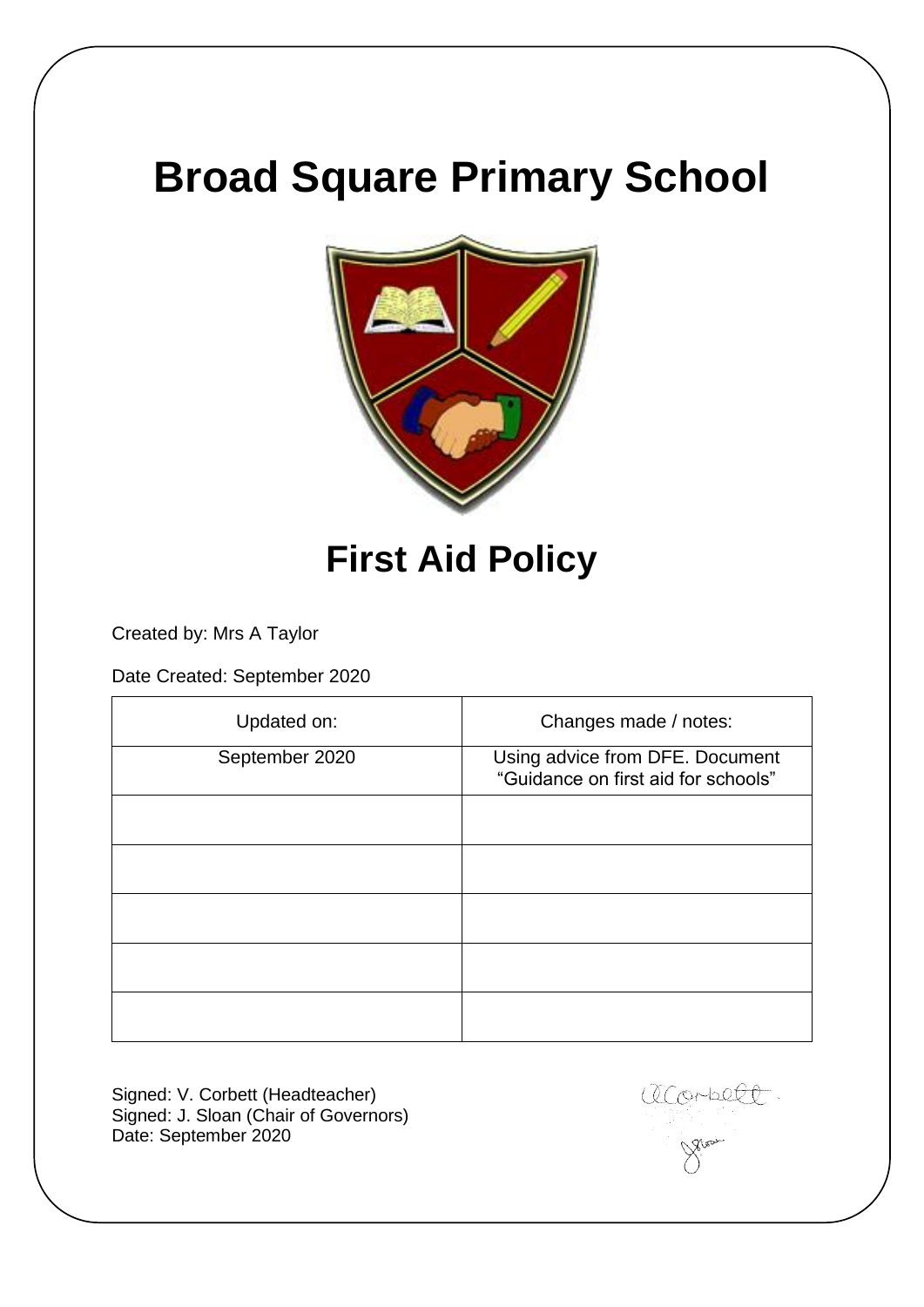# **Broad Square Primary School**



# **First Aid Policy**

Created by: Mrs A Taylor

Date Created: September 2020

| Updated on:    | Changes made / notes:                                                  |
|----------------|------------------------------------------------------------------------|
| September 2020 | Using advice from DFE. Document<br>"Guidance on first aid for schools" |
|                |                                                                        |
|                |                                                                        |
|                |                                                                        |
|                |                                                                        |
|                |                                                                        |

Signed: V. Corbett (Headteacher) Signed: J. Sloan (Chair of Governors) Date: September 2020

aconbell.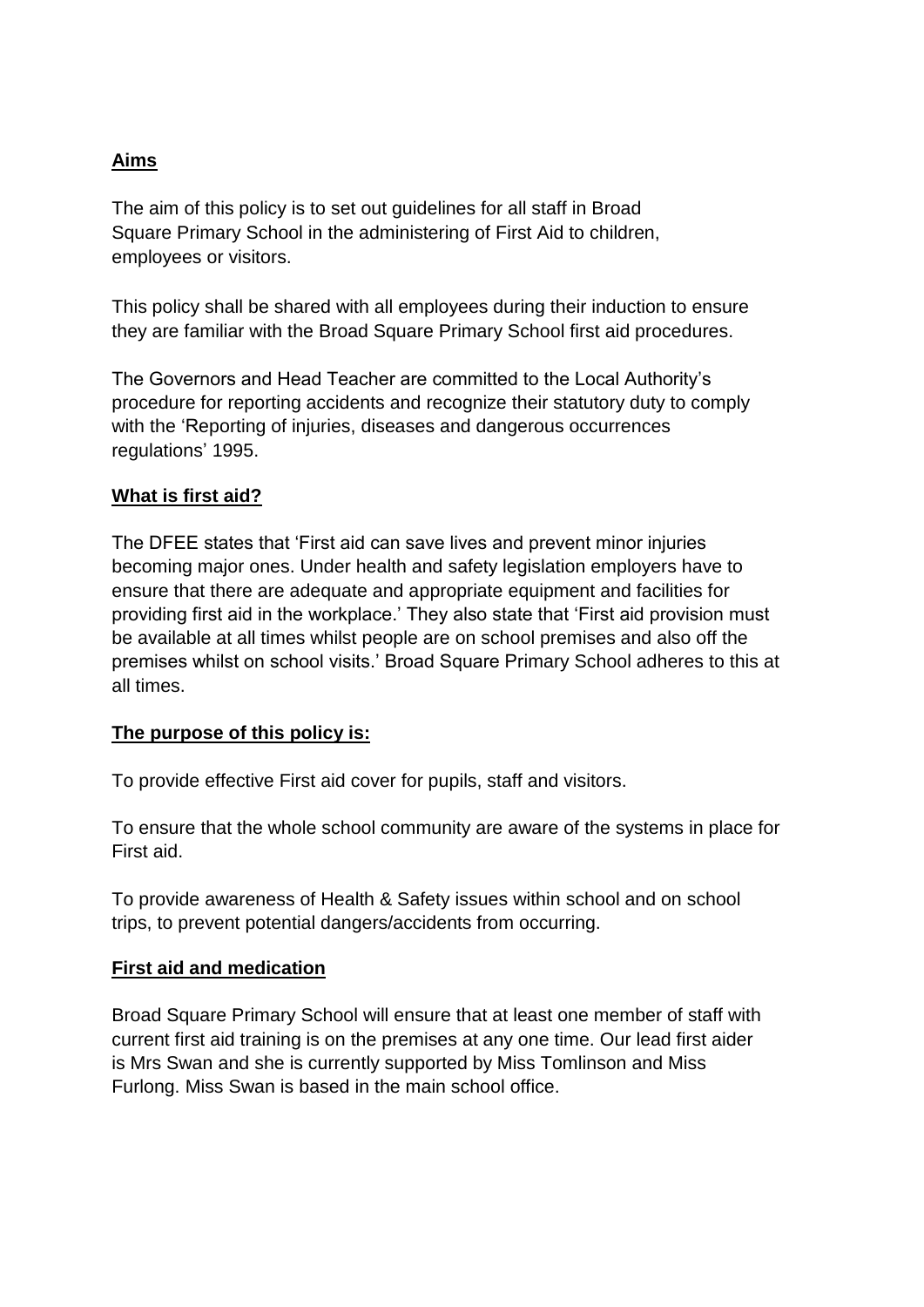# **Aims**

The aim of this policy is to set out guidelines for all staff in Broad Square Primary School in the administering of First Aid to children, employees or visitors.

This policy shall be shared with all employees during their induction to ensure they are familiar with the Broad Square Primary School first aid procedures.

The Governors and Head Teacher are committed to the Local Authority's procedure for reporting accidents and recognize their statutory duty to comply with the 'Reporting of injuries, diseases and dangerous occurrences regulations' 1995.

#### **What is first aid?**

The DFEE states that 'First aid can save lives and prevent minor injuries becoming major ones. Under health and safety legislation employers have to ensure that there are adequate and appropriate equipment and facilities for providing first aid in the workplace.' They also state that 'First aid provision must be available at all times whilst people are on school premises and also off the premises whilst on school visits.' Broad Square Primary School adheres to this at all times.

#### **The purpose of this policy is:**

To provide effective First aid cover for pupils, staff and visitors.

To ensure that the whole school community are aware of the systems in place for First aid.

To provide awareness of Health & Safety issues within school and on school trips, to prevent potential dangers/accidents from occurring.

#### **First aid and medication**

Broad Square Primary School will ensure that at least one member of staff with current first aid training is on the premises at any one time. Our lead first aider is Mrs Swan and she is currently supported by Miss Tomlinson and Miss Furlong. Miss Swan is based in the main school office.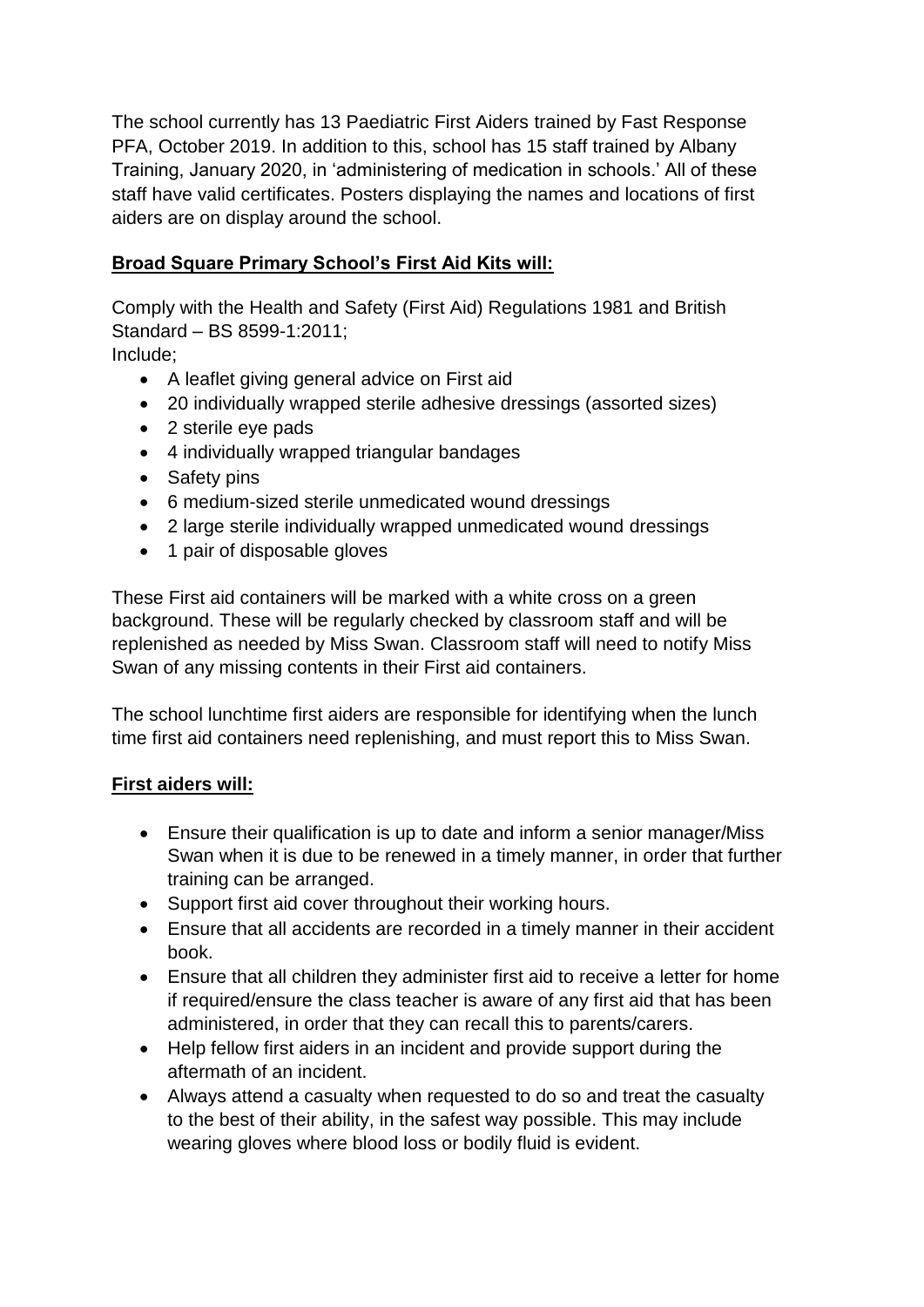The school currently has 13 Paediatric First Aiders trained by Fast Response PFA, October 2019. In addition to this, school has 15 staff trained by Albany Training, January 2020, in 'administering of medication in schools.' All of these staff have valid certificates. Posters displaying the names and locations of first aiders are on display around the school.

# **Broad Square Primary School's First Aid Kits will:**

Comply with the Health and Safety (First Aid) Regulations 1981 and British Standard – BS 8599-1:2011;

Include;

- A leaflet giving general advice on First aid
- 20 individually wrapped sterile adhesive dressings (assorted sizes)
- 2 sterile eve pads
- 4 individually wrapped triangular bandages
- Safety pins
- 6 medium-sized sterile unmedicated wound dressings
- 2 large sterile individually wrapped unmedicated wound dressings
- 1 pair of disposable gloves

These First aid containers will be marked with a white cross on a green background. These will be regularly checked by classroom staff and will be replenished as needed by Miss Swan. Classroom staff will need to notify Miss Swan of any missing contents in their First aid containers.

The school lunchtime first aiders are responsible for identifying when the lunch time first aid containers need replenishing, and must report this to Miss Swan.

# **First aiders will:**

- Ensure their qualification is up to date and inform a senior manager/Miss Swan when it is due to be renewed in a timely manner, in order that further training can be arranged.
- Support first aid cover throughout their working hours.
- Ensure that all accidents are recorded in a timely manner in their accident book.
- Ensure that all children they administer first aid to receive a letter for home if required/ensure the class teacher is aware of any first aid that has been administered, in order that they can recall this to parents/carers.
- Help fellow first aiders in an incident and provide support during the aftermath of an incident.
- Always attend a casualty when requested to do so and treat the casualty to the best of their ability, in the safest way possible. This may include wearing gloves where blood loss or bodily fluid is evident.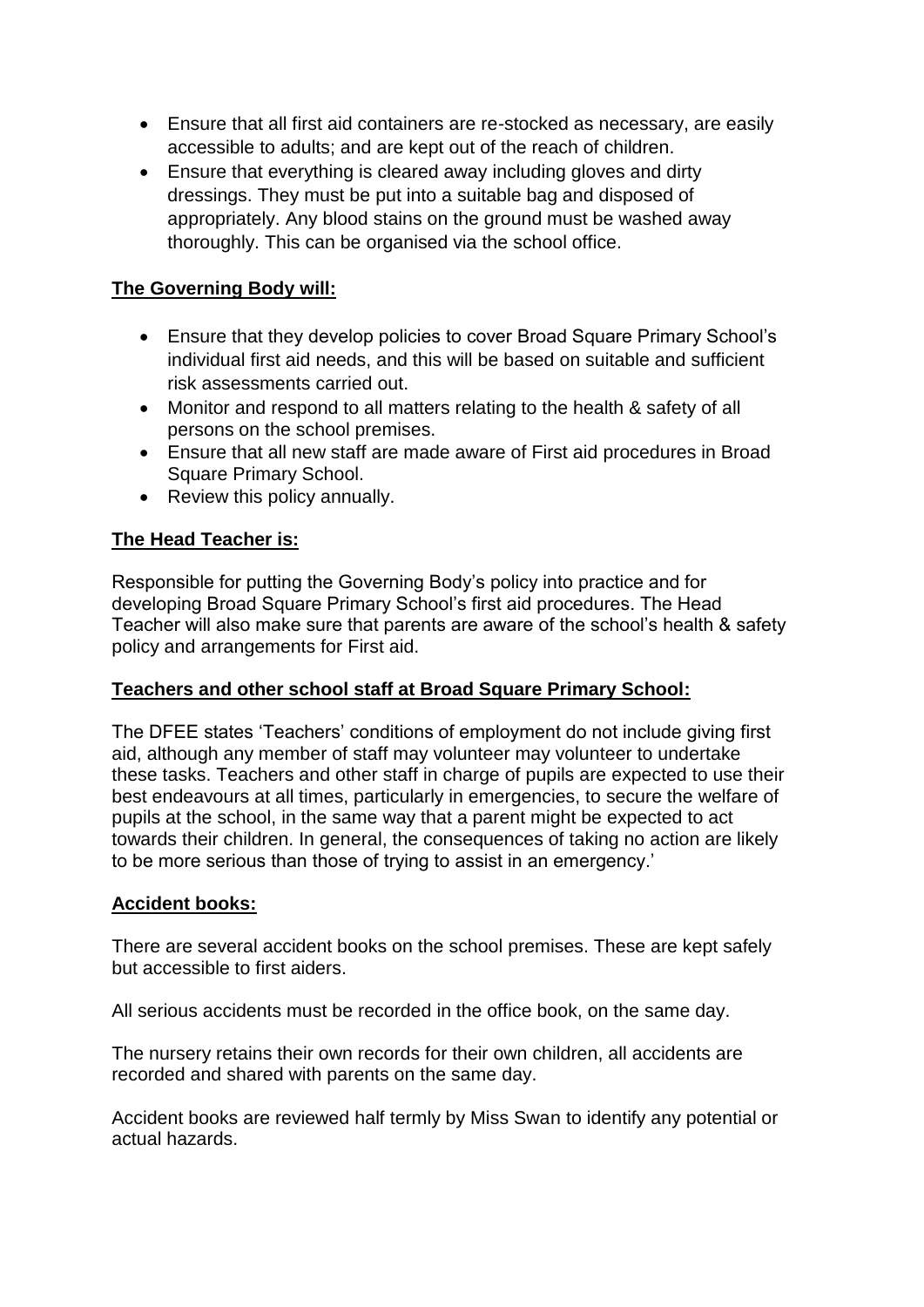- Ensure that all first aid containers are re-stocked as necessary, are easily accessible to adults; and are kept out of the reach of children.
- Ensure that everything is cleared away including gloves and dirty dressings. They must be put into a suitable bag and disposed of appropriately. Any blood stains on the ground must be washed away thoroughly. This can be organised via the school office.

# **The Governing Body will:**

- Ensure that they develop policies to cover Broad Square Primary School's individual first aid needs, and this will be based on suitable and sufficient risk assessments carried out.
- Monitor and respond to all matters relating to the health & safety of all persons on the school premises.
- Ensure that all new staff are made aware of First aid procedures in Broad Square Primary School.
- Review this policy annually.

#### **The Head Teacher is:**

Responsible for putting the Governing Body's policy into practice and for developing Broad Square Primary School's first aid procedures. The Head Teacher will also make sure that parents are aware of the school's health & safety policy and arrangements for First aid.

#### **Teachers and other school staff at Broad Square Primary School:**

The DFEE states 'Teachers' conditions of employment do not include giving first aid, although any member of staff may volunteer may volunteer to undertake these tasks. Teachers and other staff in charge of pupils are expected to use their best endeavours at all times, particularly in emergencies, to secure the welfare of pupils at the school, in the same way that a parent might be expected to act towards their children. In general, the consequences of taking no action are likely to be more serious than those of trying to assist in an emergency.'

#### **Accident books:**

There are several accident books on the school premises. These are kept safely but accessible to first aiders.

All serious accidents must be recorded in the office book, on the same day.

The nursery retains their own records for their own children, all accidents are recorded and shared with parents on the same day.

Accident books are reviewed half termly by Miss Swan to identify any potential or actual hazards.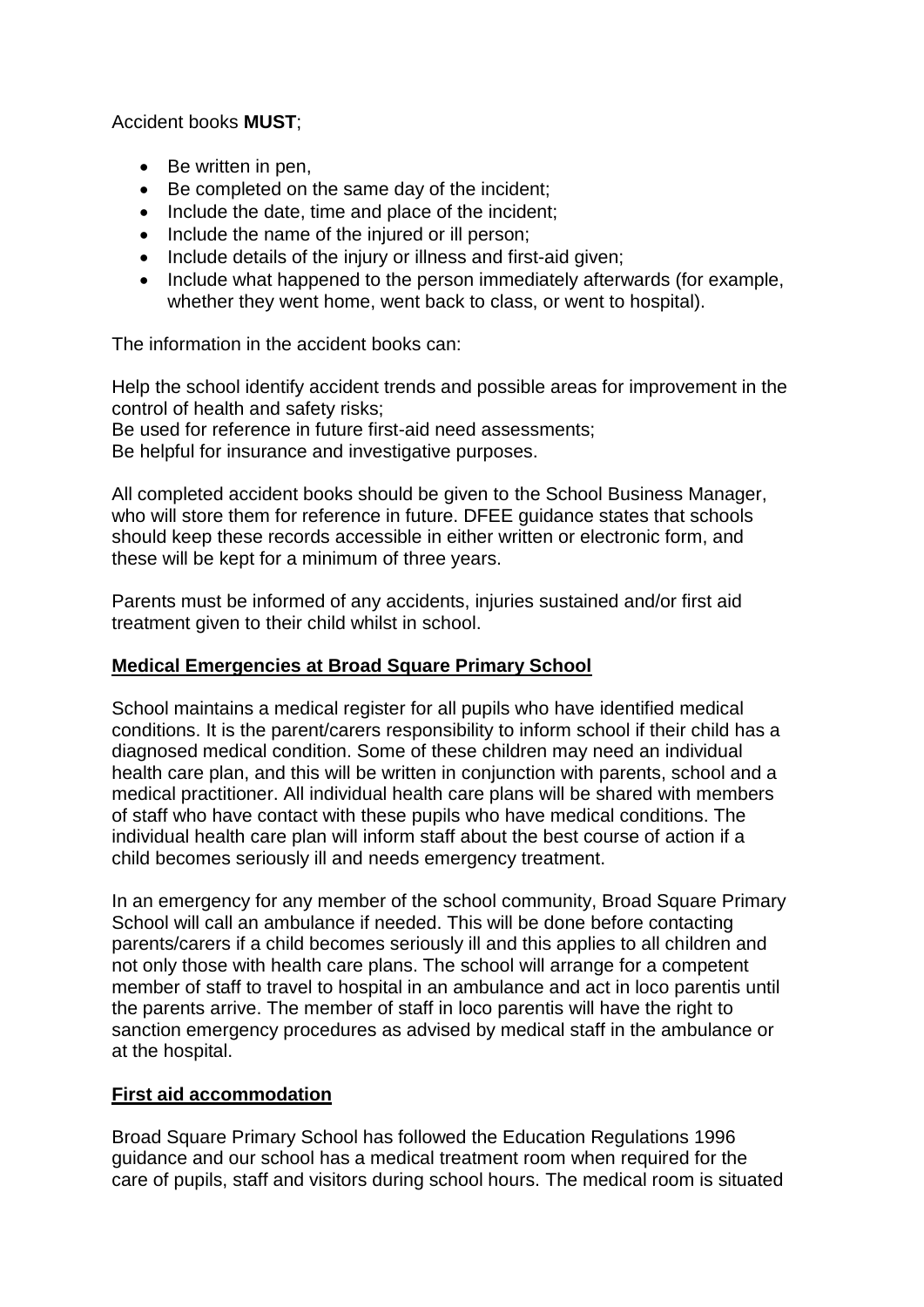Accident books **MUST**;

- Be written in pen,
- Be completed on the same day of the incident;
- Include the date, time and place of the incident;
- Include the name of the injured or ill person;
- Include details of the injury or illness and first-aid given;
- Include what happened to the person immediately afterwards (for example, whether they went home, went back to class, or went to hospital).

The information in the accident books can:

Help the school identify accident trends and possible areas for improvement in the control of health and safety risks;

Be used for reference in future first-aid need assessments;

Be helpful for insurance and investigative purposes.

All completed accident books should be given to the School Business Manager, who will store them for reference in future. DFEE guidance states that schools should keep these records accessible in either written or electronic form, and these will be kept for a minimum of three years.

Parents must be informed of any accidents, injuries sustained and/or first aid treatment given to their child whilst in school.

# **Medical Emergencies at Broad Square Primary School**

School maintains a medical register for all pupils who have identified medical conditions. It is the parent/carers responsibility to inform school if their child has a diagnosed medical condition. Some of these children may need an individual health care plan, and this will be written in conjunction with parents, school and a medical practitioner. All individual health care plans will be shared with members of staff who have contact with these pupils who have medical conditions. The individual health care plan will inform staff about the best course of action if a child becomes seriously ill and needs emergency treatment.

In an emergency for any member of the school community, Broad Square Primary School will call an ambulance if needed. This will be done before contacting parents/carers if a child becomes seriously ill and this applies to all children and not only those with health care plans. The school will arrange for a competent member of staff to travel to hospital in an ambulance and act in loco parentis until the parents arrive. The member of staff in loco parentis will have the right to sanction emergency procedures as advised by medical staff in the ambulance or at the hospital.

# **First aid accommodation**

Broad Square Primary School has followed the Education Regulations 1996 guidance and our school has a medical treatment room when required for the care of pupils, staff and visitors during school hours. The medical room is situated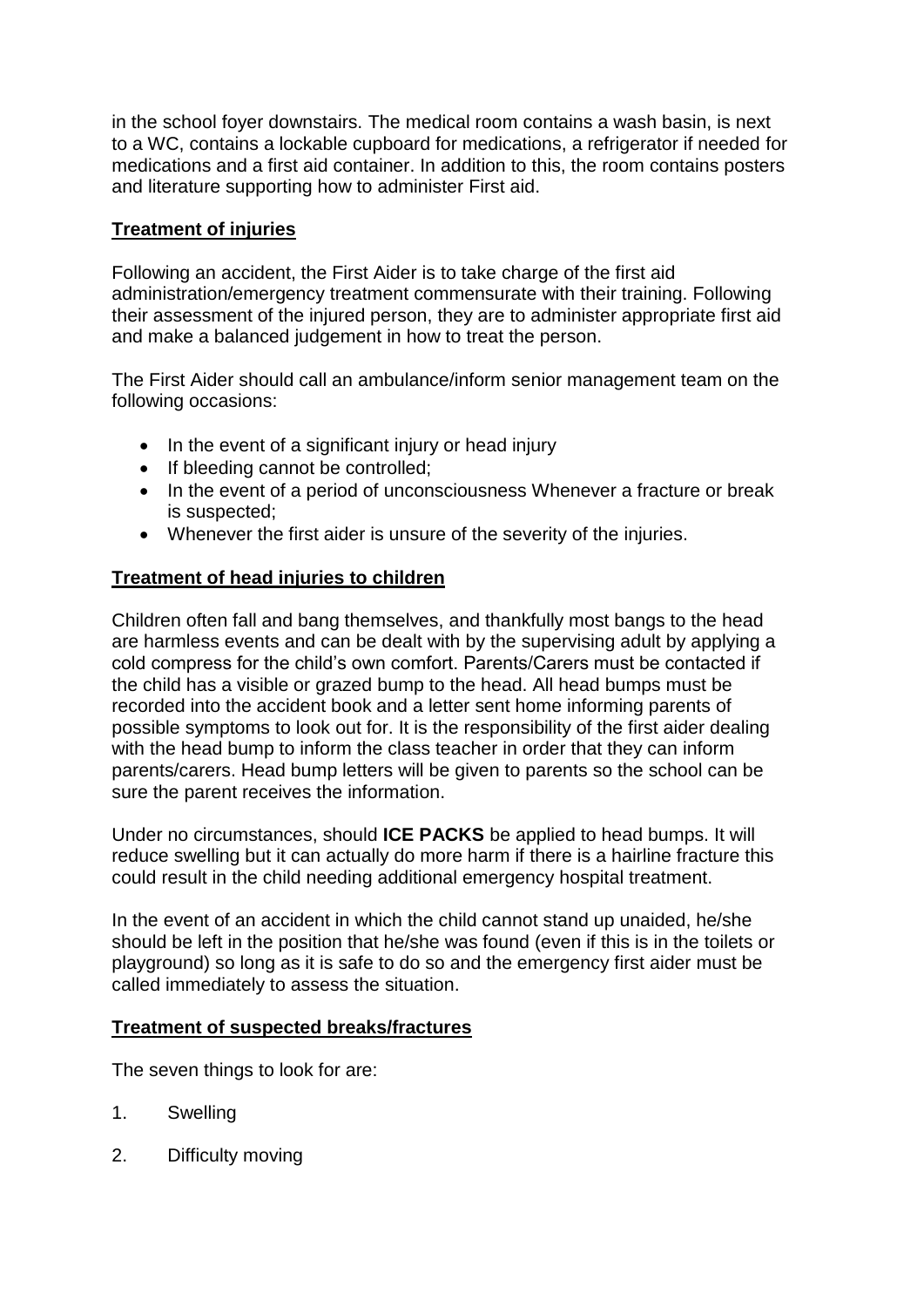in the school foyer downstairs. The medical room contains a wash basin, is next to a WC, contains a lockable cupboard for medications, a refrigerator if needed for medications and a first aid container. In addition to this, the room contains posters and literature supporting how to administer First aid.

# **Treatment of injuries**

Following an accident, the First Aider is to take charge of the first aid administration/emergency treatment commensurate with their training. Following their assessment of the injured person, they are to administer appropriate first aid and make a balanced judgement in how to treat the person.

The First Aider should call an ambulance/inform senior management team on the following occasions:

- In the event of a significant injury or head injury
- If bleeding cannot be controlled;
- In the event of a period of unconsciousness Whenever a fracture or break is suspected;
- Whenever the first aider is unsure of the severity of the injuries.

# **Treatment of head injuries to children**

Children often fall and bang themselves, and thankfully most bangs to the head are harmless events and can be dealt with by the supervising adult by applying a cold compress for the child's own comfort. Parents/Carers must be contacted if the child has a visible or grazed bump to the head. All head bumps must be recorded into the accident book and a letter sent home informing parents of possible symptoms to look out for. It is the responsibility of the first aider dealing with the head bump to inform the class teacher in order that they can inform parents/carers. Head bump letters will be given to parents so the school can be sure the parent receives the information.

Under no circumstances, should **ICE PACKS** be applied to head bumps. It will reduce swelling but it can actually do more harm if there is a hairline fracture this could result in the child needing additional emergency hospital treatment.

In the event of an accident in which the child cannot stand up unaided, he/she should be left in the position that he/she was found (even if this is in the toilets or playground) so long as it is safe to do so and the emergency first aider must be called immediately to assess the situation.

# **Treatment of suspected breaks/fractures**

The seven things to look for are:

- 1. Swelling
- 2. Difficulty moving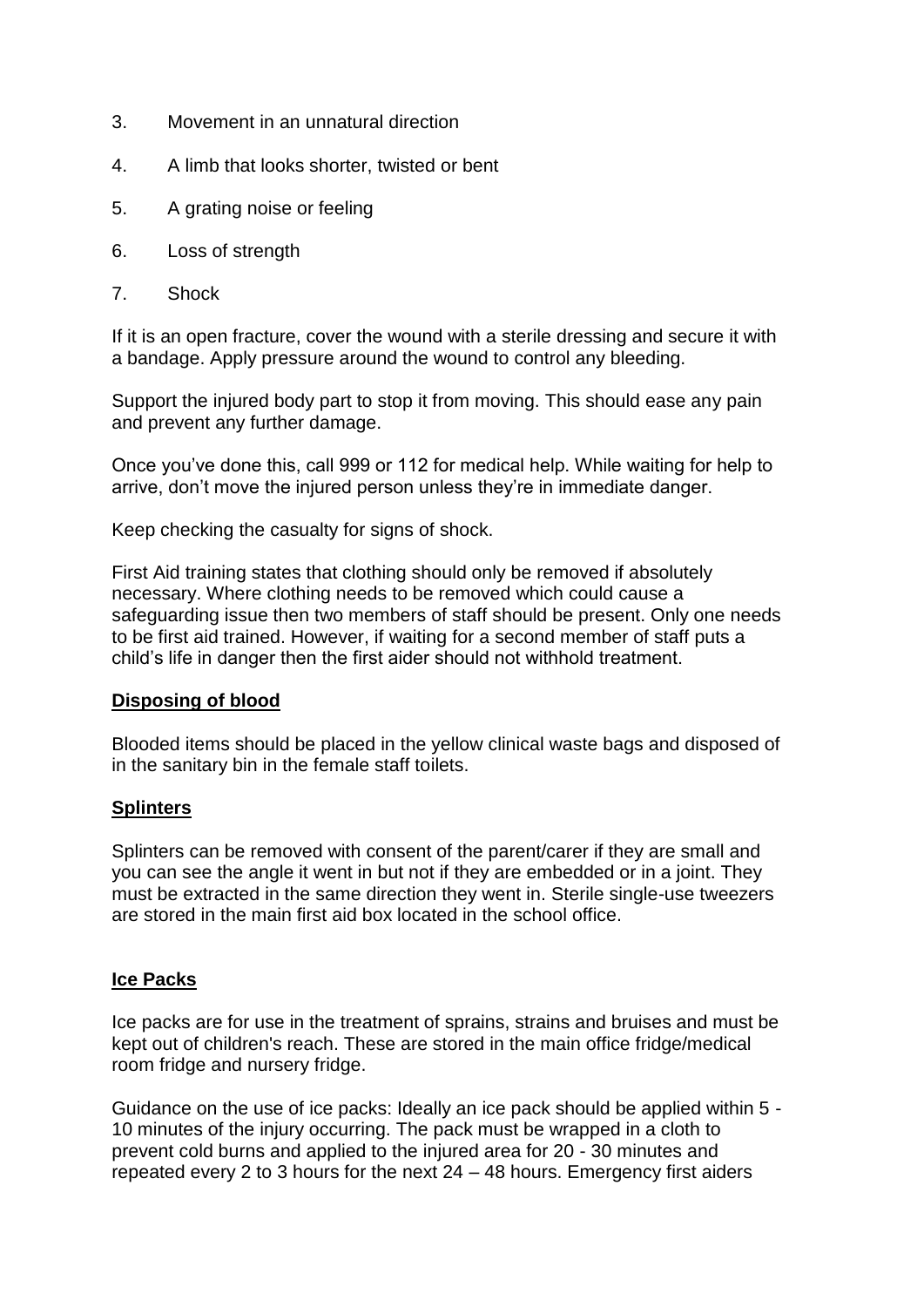- 3. Movement in an unnatural direction
- 4. A limb that looks shorter, twisted or bent
- 5. A grating noise or feeling
- 6. Loss of strength
- 7. Shock

If it is an open fracture, cover the wound with a sterile dressing and secure it with a bandage. Apply pressure around the wound to control any bleeding.

Support the injured body part to stop it from moving. This should ease any pain and prevent any further damage.

Once you've done this, call 999 or 112 for medical help. While waiting for help to arrive, don't move the injured person unless they're in immediate danger.

Keep checking the casualty for signs of shock.

First Aid training states that clothing should only be removed if absolutely necessary. Where clothing needs to be removed which could cause a safeguarding issue then two members of staff should be present. Only one needs to be first aid trained. However, if waiting for a second member of staff puts a child's life in danger then the first aider should not withhold treatment.

#### **Disposing of blood**

Blooded items should be placed in the yellow clinical waste bags and disposed of in the sanitary bin in the female staff toilets.

#### **Splinters**

Splinters can be removed with consent of the parent/carer if they are small and you can see the angle it went in but not if they are embedded or in a joint. They must be extracted in the same direction they went in. Sterile single-use tweezers are stored in the main first aid box located in the school office.

#### **Ice Packs**

Ice packs are for use in the treatment of sprains, strains and bruises and must be kept out of children's reach. These are stored in the main office fridge/medical room fridge and nursery fridge.

Guidance on the use of ice packs: Ideally an ice pack should be applied within 5 - 10 minutes of the injury occurring. The pack must be wrapped in a cloth to prevent cold burns and applied to the injured area for 20 - 30 minutes and repeated every 2 to 3 hours for the next 24 – 48 hours. Emergency first aiders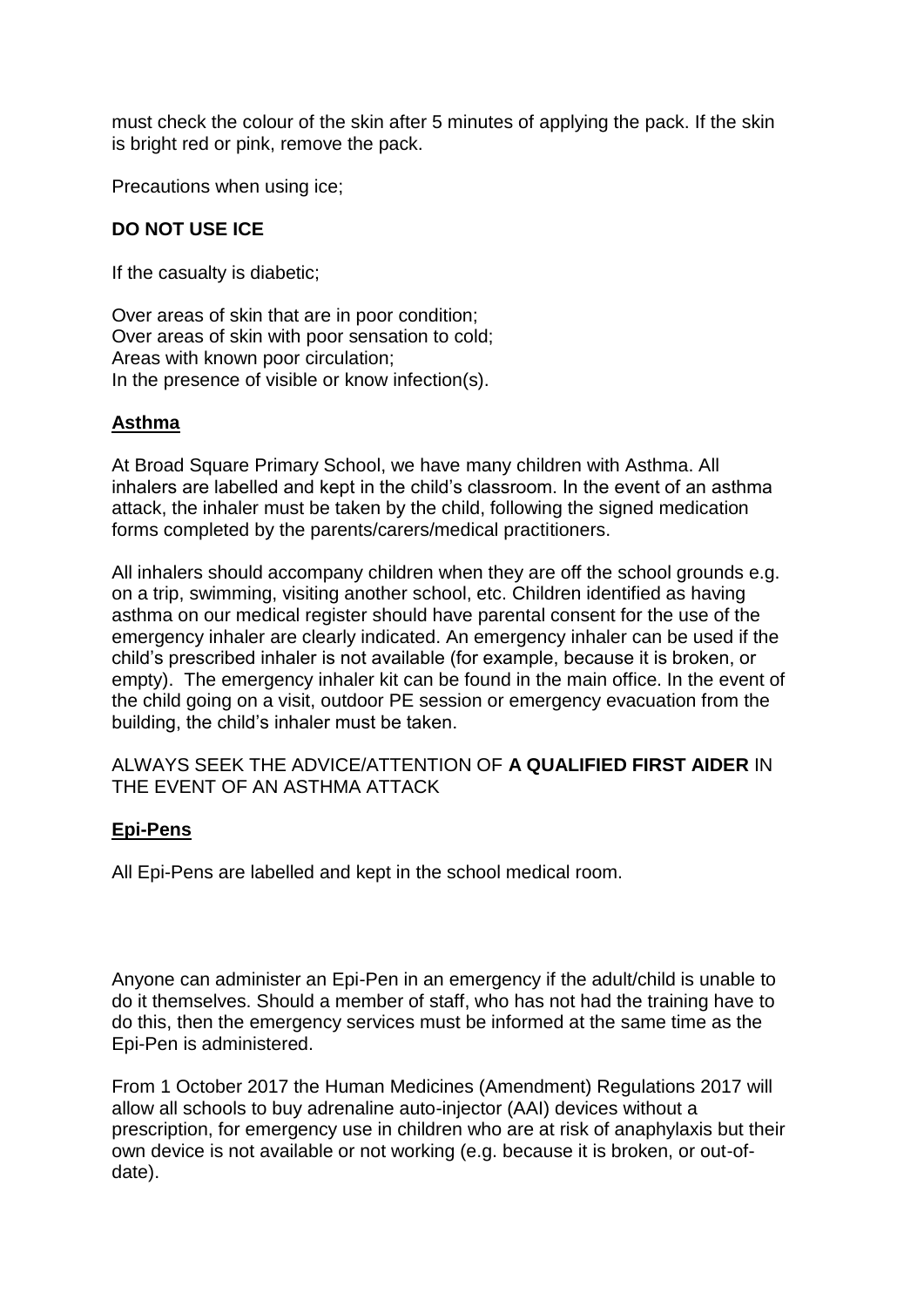must check the colour of the skin after 5 minutes of applying the pack. If the skin is bright red or pink, remove the pack.

Precautions when using ice;

### **DO NOT USE ICE**

If the casualty is diabetic;

Over areas of skin that are in poor condition; Over areas of skin with poor sensation to cold; Areas with known poor circulation; In the presence of visible or know infection(s).

#### **Asthma**

At Broad Square Primary School, we have many children with Asthma. All inhalers are labelled and kept in the child's classroom. In the event of an asthma attack, the inhaler must be taken by the child, following the signed medication forms completed by the parents/carers/medical practitioners.

All inhalers should accompany children when they are off the school grounds e.g. on a trip, swimming, visiting another school, etc. Children identified as having asthma on our medical register should have parental consent for the use of the emergency inhaler are clearly indicated. An emergency inhaler can be used if the child's prescribed inhaler is not available (for example, because it is broken, or empty). The emergency inhaler kit can be found in the main office. In the event of the child going on a visit, outdoor PE session or emergency evacuation from the building, the child's inhaler must be taken.

ALWAYS SEEK THE ADVICE/ATTENTION OF **A QUALIFIED FIRST AIDER** IN THE EVENT OF AN ASTHMA ATTACK

#### **Epi-Pens**

All Epi-Pens are labelled and kept in the school medical room.

Anyone can administer an Epi-Pen in an emergency if the adult/child is unable to do it themselves. Should a member of staff, who has not had the training have to do this, then the emergency services must be informed at the same time as the Epi-Pen is administered.

From 1 October 2017 the Human Medicines (Amendment) Regulations 2017 will allow all schools to buy adrenaline auto-injector (AAI) devices without a prescription, for emergency use in children who are at risk of anaphylaxis but their own device is not available or not working (e.g. because it is broken, or out-ofdate).